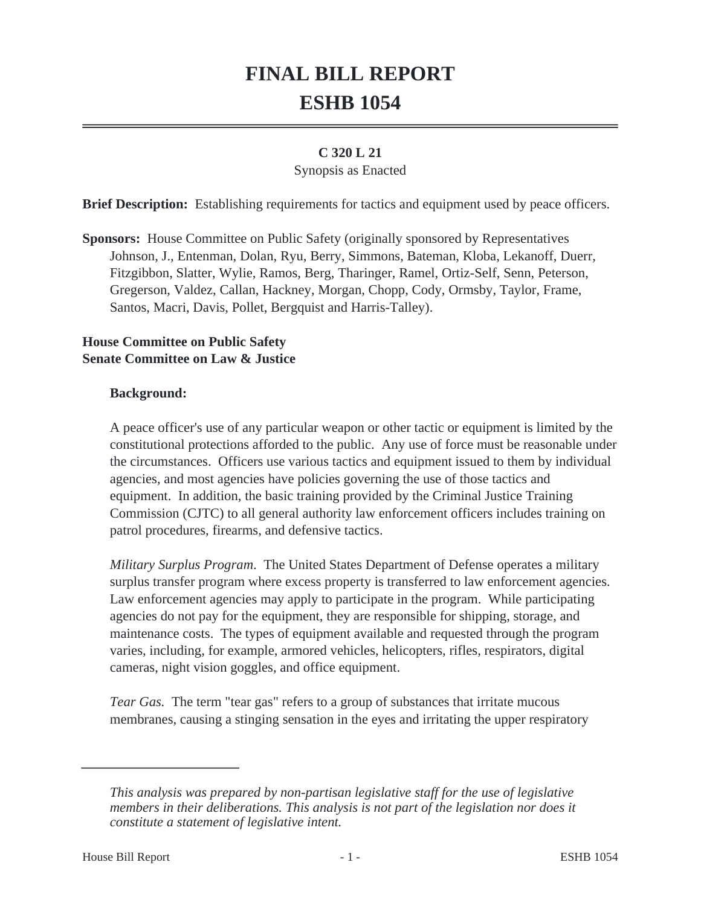# **FINAL BILL REPORT ESHB 1054**

## **C 320 L 21**

#### Synopsis as Enacted

**Brief Description:** Establishing requirements for tactics and equipment used by peace officers.

**Sponsors:** House Committee on Public Safety (originally sponsored by Representatives Johnson, J., Entenman, Dolan, Ryu, Berry, Simmons, Bateman, Kloba, Lekanoff, Duerr, Fitzgibbon, Slatter, Wylie, Ramos, Berg, Tharinger, Ramel, Ortiz-Self, Senn, Peterson, Gregerson, Valdez, Callan, Hackney, Morgan, Chopp, Cody, Ormsby, Taylor, Frame, Santos, Macri, Davis, Pollet, Bergquist and Harris-Talley).

## **House Committee on Public Safety Senate Committee on Law & Justice**

## **Background:**

A peace officer's use of any particular weapon or other tactic or equipment is limited by the constitutional protections afforded to the public. Any use of force must be reasonable under the circumstances. Officers use various tactics and equipment issued to them by individual agencies, and most agencies have policies governing the use of those tactics and equipment. In addition, the basic training provided by the Criminal Justice Training Commission (CJTC) to all general authority law enforcement officers includes training on patrol procedures, firearms, and defensive tactics.

*Military Surplus Program*. The United States Department of Defense operates a military surplus transfer program where excess property is transferred to law enforcement agencies. Law enforcement agencies may apply to participate in the program. While participating agencies do not pay for the equipment, they are responsible for shipping, storage, and maintenance costs. The types of equipment available and requested through the program varies, including, for example, armored vehicles, helicopters, rifles, respirators, digital cameras, night vision goggles, and office equipment.

*Tear Gas.* The term "tear gas" refers to a group of substances that irritate mucous membranes, causing a stinging sensation in the eyes and irritating the upper respiratory

*This analysis was prepared by non-partisan legislative staff for the use of legislative members in their deliberations. This analysis is not part of the legislation nor does it constitute a statement of legislative intent.*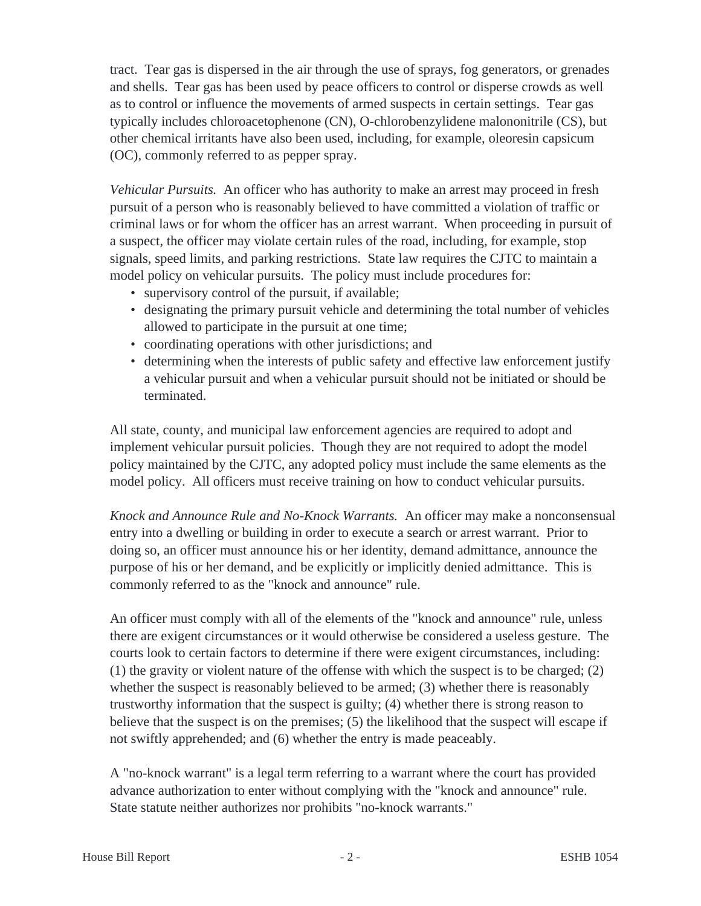tract. Tear gas is dispersed in the air through the use of sprays, fog generators, or grenades and shells. Tear gas has been used by peace officers to control or disperse crowds as well as to control or influence the movements of armed suspects in certain settings. Tear gas typically includes chloroacetophenone (CN), O-chlorobenzylidene malononitrile (CS), but other chemical irritants have also been used, including, for example, oleoresin capsicum (OC), commonly referred to as pepper spray.

*Vehicular Pursuits.* An officer who has authority to make an arrest may proceed in fresh pursuit of a person who is reasonably believed to have committed a violation of traffic or criminal laws or for whom the officer has an arrest warrant. When proceeding in pursuit of a suspect, the officer may violate certain rules of the road, including, for example, stop signals, speed limits, and parking restrictions. State law requires the CJTC to maintain a model policy on vehicular pursuits. The policy must include procedures for:

- supervisory control of the pursuit, if available;
- designating the primary pursuit vehicle and determining the total number of vehicles allowed to participate in the pursuit at one time;
- coordinating operations with other jurisdictions; and
- determining when the interests of public safety and effective law enforcement justify a vehicular pursuit and when a vehicular pursuit should not be initiated or should be terminated.

All state, county, and municipal law enforcement agencies are required to adopt and implement vehicular pursuit policies. Though they are not required to adopt the model policy maintained by the CJTC, any adopted policy must include the same elements as the model policy. All officers must receive training on how to conduct vehicular pursuits.

*Knock and Announce Rule and No-Knock Warrants.* An officer may make a nonconsensual entry into a dwelling or building in order to execute a search or arrest warrant. Prior to doing so, an officer must announce his or her identity, demand admittance, announce the purpose of his or her demand, and be explicitly or implicitly denied admittance. This is commonly referred to as the "knock and announce" rule.

An officer must comply with all of the elements of the "knock and announce" rule, unless there are exigent circumstances or it would otherwise be considered a useless gesture. The courts look to certain factors to determine if there were exigent circumstances, including: (1) the gravity or violent nature of the offense with which the suspect is to be charged; (2) whether the suspect is reasonably believed to be armed; (3) whether there is reasonably trustworthy information that the suspect is guilty; (4) whether there is strong reason to believe that the suspect is on the premises; (5) the likelihood that the suspect will escape if not swiftly apprehended; and (6) whether the entry is made peaceably.

A "no-knock warrant" is a legal term referring to a warrant where the court has provided advance authorization to enter without complying with the "knock and announce" rule. State statute neither authorizes nor prohibits "no-knock warrants."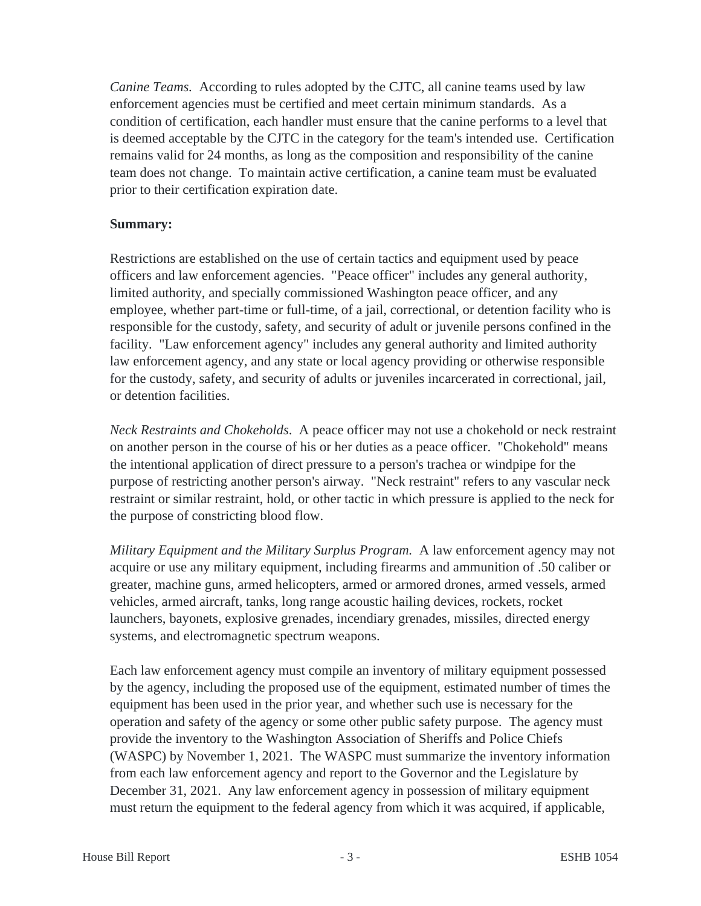*Canine Teams.* According to rules adopted by the CJTC, all canine teams used by law enforcement agencies must be certified and meet certain minimum standards. As a condition of certification, each handler must ensure that the canine performs to a level that is deemed acceptable by the CJTC in the category for the team's intended use. Certification remains valid for 24 months, as long as the composition and responsibility of the canine team does not change. To maintain active certification, a canine team must be evaluated prior to their certification expiration date.

### **Summary:**

Restrictions are established on the use of certain tactics and equipment used by peace officers and law enforcement agencies. "Peace officer" includes any general authority, limited authority, and specially commissioned Washington peace officer, and any employee, whether part-time or full-time, of a jail, correctional, or detention facility who is responsible for the custody, safety, and security of adult or juvenile persons confined in the facility. "Law enforcement agency" includes any general authority and limited authority law enforcement agency, and any state or local agency providing or otherwise responsible for the custody, safety, and security of adults or juveniles incarcerated in correctional, jail, or detention facilities.

*Neck Restraints and Chokeholds*. A peace officer may not use a chokehold or neck restraint on another person in the course of his or her duties as a peace officer. "Chokehold" means the intentional application of direct pressure to a person's trachea or windpipe for the purpose of restricting another person's airway. "Neck restraint" refers to any vascular neck restraint or similar restraint, hold, or other tactic in which pressure is applied to the neck for the purpose of constricting blood flow.

*Military Equipment and the Military Surplus Program.* A law enforcement agency may not acquire or use any military equipment, including firearms and ammunition of .50 caliber or greater, machine guns, armed helicopters, armed or armored drones, armed vessels, armed vehicles, armed aircraft, tanks, long range acoustic hailing devices, rockets, rocket launchers, bayonets, explosive grenades, incendiary grenades, missiles, directed energy systems, and electromagnetic spectrum weapons.

Each law enforcement agency must compile an inventory of military equipment possessed by the agency, including the proposed use of the equipment, estimated number of times the equipment has been used in the prior year, and whether such use is necessary for the operation and safety of the agency or some other public safety purpose. The agency must provide the inventory to the Washington Association of Sheriffs and Police Chiefs (WASPC) by November 1, 2021. The WASPC must summarize the inventory information from each law enforcement agency and report to the Governor and the Legislature by December 31, 2021. Any law enforcement agency in possession of military equipment must return the equipment to the federal agency from which it was acquired, if applicable,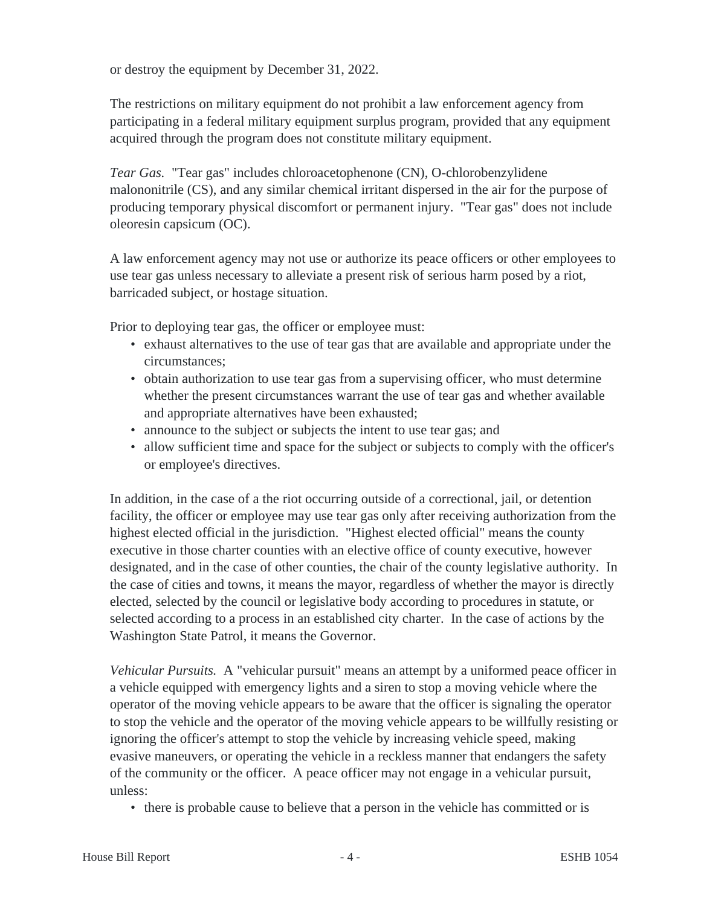or destroy the equipment by December 31, 2022.

The restrictions on military equipment do not prohibit a law enforcement agency from participating in a federal military equipment surplus program, provided that any equipment acquired through the program does not constitute military equipment.

*Tear Gas.* "Tear gas" includes chloroacetophenone (CN), O-chlorobenzylidene malononitrile (CS), and any similar chemical irritant dispersed in the air for the purpose of producing temporary physical discomfort or permanent injury. "Tear gas" does not include oleoresin capsicum (OC).

A law enforcement agency may not use or authorize its peace officers or other employees to use tear gas unless necessary to alleviate a present risk of serious harm posed by a riot, barricaded subject, or hostage situation.

Prior to deploying tear gas, the officer or employee must:

- exhaust alternatives to the use of tear gas that are available and appropriate under the circumstances;
- obtain authorization to use tear gas from a supervising officer, who must determine whether the present circumstances warrant the use of tear gas and whether available and appropriate alternatives have been exhausted;
- announce to the subject or subjects the intent to use tear gas; and
- allow sufficient time and space for the subject or subjects to comply with the officer's or employee's directives.

In addition, in the case of a the riot occurring outside of a correctional, jail, or detention facility, the officer or employee may use tear gas only after receiving authorization from the highest elected official in the jurisdiction. "Highest elected official" means the county executive in those charter counties with an elective office of county executive, however designated, and in the case of other counties, the chair of the county legislative authority. In the case of cities and towns, it means the mayor, regardless of whether the mayor is directly elected, selected by the council or legislative body according to procedures in statute, or selected according to a process in an established city charter. In the case of actions by the Washington State Patrol, it means the Governor.

*Vehicular Pursuits.* A "vehicular pursuit" means an attempt by a uniformed peace officer in a vehicle equipped with emergency lights and a siren to stop a moving vehicle where the operator of the moving vehicle appears to be aware that the officer is signaling the operator to stop the vehicle and the operator of the moving vehicle appears to be willfully resisting or ignoring the officer's attempt to stop the vehicle by increasing vehicle speed, making evasive maneuvers, or operating the vehicle in a reckless manner that endangers the safety of the community or the officer. A peace officer may not engage in a vehicular pursuit, unless:

• there is probable cause to believe that a person in the vehicle has committed or is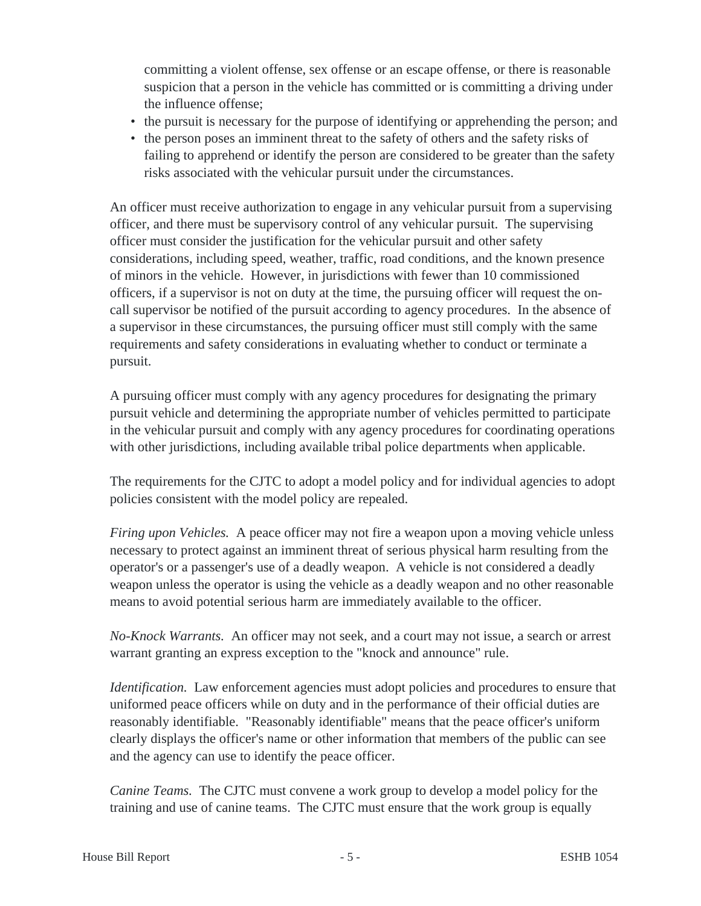committing a violent offense, sex offense or an escape offense, or there is reasonable suspicion that a person in the vehicle has committed or is committing a driving under the influence offense;

- the pursuit is necessary for the purpose of identifying or apprehending the person; and
- the person poses an imminent threat to the safety of others and the safety risks of failing to apprehend or identify the person are considered to be greater than the safety risks associated with the vehicular pursuit under the circumstances.

An officer must receive authorization to engage in any vehicular pursuit from a supervising officer, and there must be supervisory control of any vehicular pursuit. The supervising officer must consider the justification for the vehicular pursuit and other safety considerations, including speed, weather, traffic, road conditions, and the known presence of minors in the vehicle. However, in jurisdictions with fewer than 10 commissioned officers, if a supervisor is not on duty at the time, the pursuing officer will request the oncall supervisor be notified of the pursuit according to agency procedures. In the absence of a supervisor in these circumstances, the pursuing officer must still comply with the same requirements and safety considerations in evaluating whether to conduct or terminate a pursuit.

A pursuing officer must comply with any agency procedures for designating the primary pursuit vehicle and determining the appropriate number of vehicles permitted to participate in the vehicular pursuit and comply with any agency procedures for coordinating operations with other jurisdictions, including available tribal police departments when applicable.

The requirements for the CJTC to adopt a model policy and for individual agencies to adopt policies consistent with the model policy are repealed.

*Firing upon Vehicles.* A peace officer may not fire a weapon upon a moving vehicle unless necessary to protect against an imminent threat of serious physical harm resulting from the operator's or a passenger's use of a deadly weapon. A vehicle is not considered a deadly weapon unless the operator is using the vehicle as a deadly weapon and no other reasonable means to avoid potential serious harm are immediately available to the officer.

*No-Knock Warrants.* An officer may not seek, and a court may not issue, a search or arrest warrant granting an express exception to the "knock and announce" rule.

*Identification.* Law enforcement agencies must adopt policies and procedures to ensure that uniformed peace officers while on duty and in the performance of their official duties are reasonably identifiable. "Reasonably identifiable" means that the peace officer's uniform clearly displays the officer's name or other information that members of the public can see and the agency can use to identify the peace officer.

*Canine Teams.* The CJTC must convene a work group to develop a model policy for the training and use of canine teams. The CJTC must ensure that the work group is equally